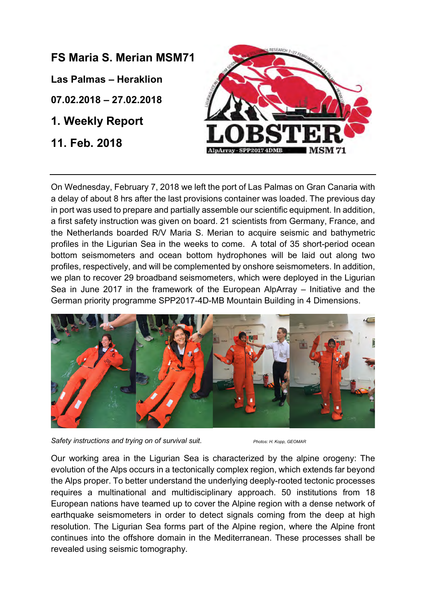## **FS Maria S. Merian MSM71**

**Las Palmas – Heraklion**

**07.02.2018 – 27.02.2018**

**1. Weekly Report**

**11. Feb. 2018**



On Wednesday, February 7, 2018 we left the port of Las Palmas on Gran Canaria with a delay of about 8 hrs after the last provisions container was loaded. The previous day in port was used to prepare and partially assemble our scientific equipment. In addition, a first safety instruction was given on board. 21 scientists from Germany, France, and the Netherlands boarded R/V Maria S. Merian to acquire seismic and bathymetric profiles in the Ligurian Sea in the weeks to come. A total of 35 short-period ocean bottom seismometers and ocean bottom hydrophones will be laid out along two profiles, respectively, and will be complemented by onshore seismometers. In addition, we plan to recover 29 broadband seismometers, which were deployed in the Ligurian Sea in June 2017 in the framework of the European AlpArray – Initiative and the German priority programme SPP2017-4D-MB Mountain Building in 4 Dimensions.



Safety instructions and trying on of survival suit. *Photos: H. Kopp, GEOMAR* 

Our working area in the Ligurian Sea is characterized by the alpine orogeny: The evolution of the Alps occurs in a tectonically complex region, which extends far beyond the Alps proper. To better understand the underlying deeply-rooted tectonic processes requires a multinational and multidisciplinary approach. 50 institutions from 18 European nations have teamed up to cover the Alpine region with a dense network of earthquake seismometers in order to detect signals coming from the deep at high resolution. The Ligurian Sea forms part of the Alpine region, where the Alpine front continues into the offshore domain in the Mediterranean. These processes shall be revealed using seismic tomography.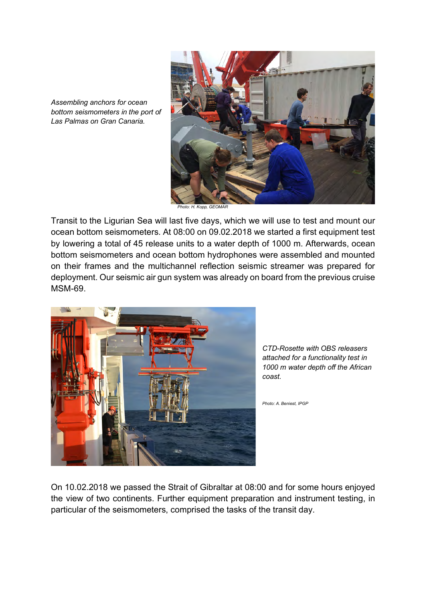

*Photo: H. Kopp, GEOMAR*

Transit to the Ligurian Sea will last five days, which we will use to test and mount our ocean bottom seismometers. At 08:00 on 09.02.2018 we started a first equipment test by lowering a total of 45 release units to a water depth of 1000 m. Afterwards, ocean bottom seismometers and ocean bottom hydrophones were assembled and mounted on their frames and the multichannel reflection seismic streamer was prepared for deployment. Our seismic air gun system was already on board from the previous cruise MSM-69.



*CTD-Rosette with OBS releasers attached for a functionality test in 1000 m water depth off the African coast.* 

*Photo: A. Beniest, IPGP*

On 10.02.2018 we passed the Strait of Gibraltar at 08:00 and for some hours enjoyed the view of two continents. Further equipment preparation and instrument testing, in particular of the seismometers, comprised the tasks of the transit day.

*Assembling anchors for ocean bottom seismometers in the port of Las Palmas on Gran Canaria.*